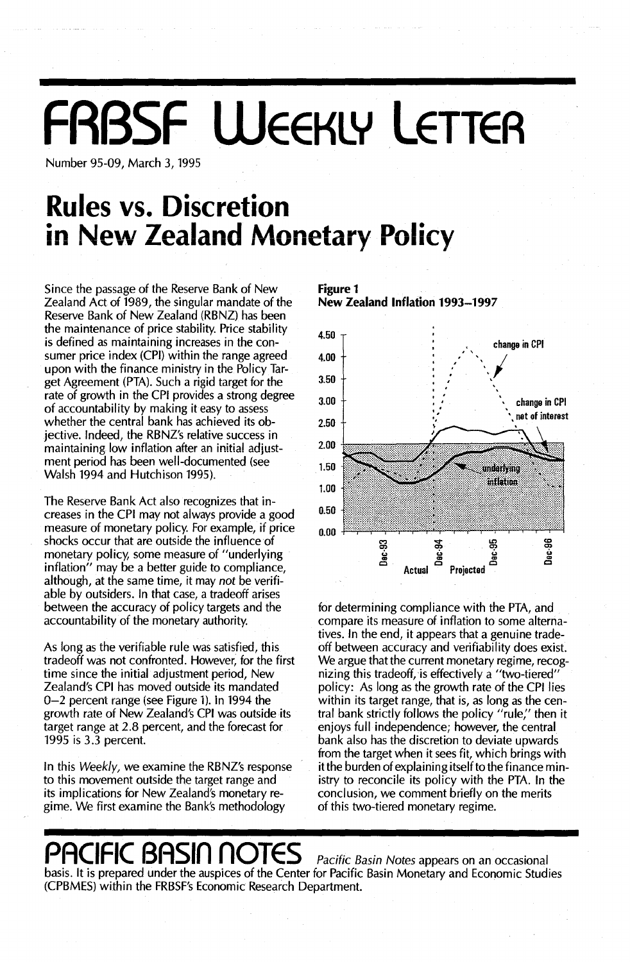# **FRBSF WEEKLY LETTEA**

Number 95-09, March 3, 1995

### **Rules vs. Discretion in Ne\v Zealand Monetary Policy**

Since the passage of the Reserve Bank of New Zealand Act of 1989, the singular mandate of the Reserve Bank of New Zealand (RBNZ) has been the maintenance of price stability. Price stability is defined as maintaining increases in the consumer price index (CPI) within the range agreed upon with the finance ministry in the Policy Target Agreement (PTA). Such a rigid target for the rate of growth in the CPI provides a strong degree of accountability by making it easy to assess whether the central bank has achieved its objective. Indeed, the RBNZ's relative success in maintaining low inflation after an initial adjustment period has been well-documented (see Walsh 1994 and Hutchison 1995).

The Reserve Bank Act also recognizes that increases in the CPI may not always provide a good measure of monetary policy. For example, if price shocks occur that are outside the influence of monetary policy, some measure of "underlying inflation" may be a better guide to compliance, although, at the same time, it may not be verifiable by outsiders. In that case, a tradeoff arises between the accuracy of policy targets and the accountability of the monetary authority.

As long as the verifiable rule was satisfied, this tradeoff was not confronted. However, for the first time since the initial adjustment period, New Zealand's CPI has moved outside its mandated 0-2 percent range (see Figure 1). in 1994 the growth rate of New Zealand's CPI was outside its target range at 2.8 percent, and the forecast for 1995 is 3.3 percent.

In this Weekly, we examine the RBNZ's response to this movement outside the target range and its implications for New Zealand's monetary regime. We first examine the Bank's methodology

**Figure 1 New Zealand Inflation 1993-1997**



for determining compliance with the PTA, and compare its measure of inflation to some alternatives. In the end, it appears that a genuine tradeoff between accuracy and verifiability does exist. We argue that the current monetary regime, recognizing this tradeoff, is effectively a "two-tiered" policy: As long as the growth rate of the CPI lies within its target range, that is, as long as the central bank strictly follows the policy "rule;' then it enjoys full independence; however, the central bank also has the discretion to deviate upwards from the target when it sees fit, which brings with it the burden of explaining itself to the finance ministry to reconcile its policy with the PTA. In the conclusion, we comment briefly on the merits of this two-tiered monetary regime.

### **PACIFIC BASin nOTES** Pacific Basin Notes appears on an occasional

basis. It is prepared under the auspices of the Center for Pacific Basin Monetary and Economic Studies (CPBMES) within the FRBSF's Economic Research Department.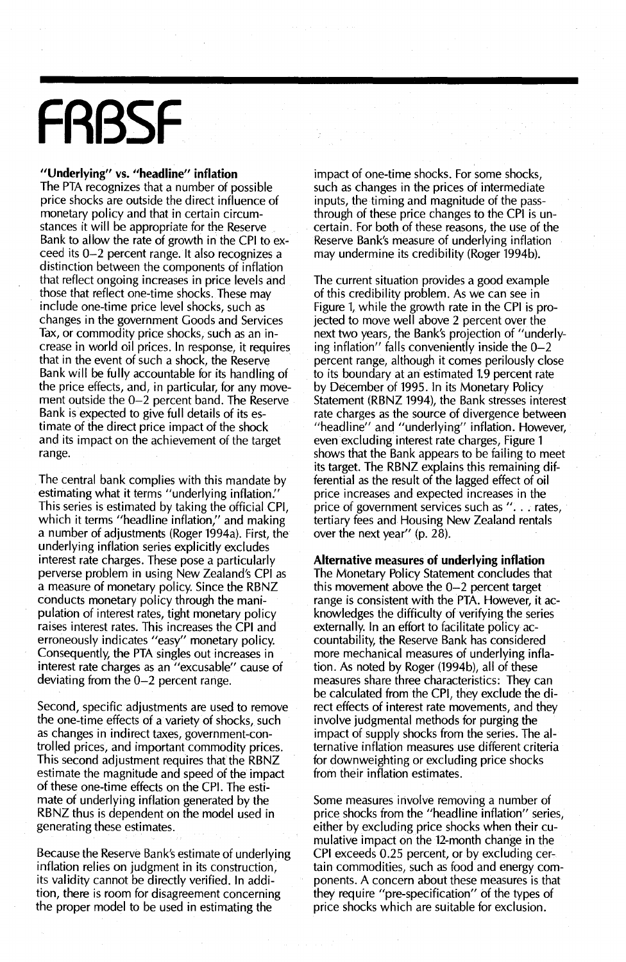## **FRBSF**

#### **"Underlying"** vs. **"headline" inflation**

The PTA recognizes that a number of possible price shocks are outside the direct influence of monetary policy and that in certain circumstances it will be appropriate for the Reserve Bank to allow the rate of growth in the CPI to exceed its 0-2 percent range. It also recognizes a distinction between the components of inflation that reflect ongoing increases in price levels and those that reflect one-time shocks. These may include one-time price level shocks, such as changes in the government Goods and Services Tax, or commodity price shocks, such as an increase in world oil prices. In response, it requires that in the event of such a shock, the Reserve . Bank will be fully accountable for its handling of the price effects, and, in particular, for any movement outside the 0-2 percent band. The Reserve Bank is expected to give full details of its estimate of the direct price impact of the shock and its impact on the achievement of the target range.

The central bank complies with this mandate by estimating what it terms "underlying inflation:' This series is estimated by taking the official CPI, which it terms "headline inflation," and making a number of adjustments (Roger 1994a). First, the underlying inflation series explicitly excludes interest rate charges. These pose a particularly perverse problem in using New Zealand's CPI as a measure of monetary policy. Since the RBNZ conducts monetary policy through the manipulation of interest rates, tight monetary policy raises interest rates. This increases the CPI and erroneously indicates "easy" monetary policy. Consequently, the PTA singles out increases in interest rate charges as an "excusable" cause of deviating from the 0-2 percent range.

Second, specific adjustments are used to remove the one-time effects of a variety of shocks, such as changes in indirect taxes, government-controlled prices, and important commodity prices. This second adjustment requires that the RBNZ estimate the magnitude and speed of the impact of these one-time effects on the CPI. The estimate of underlying inflation generated by the RBNZ thus is dependent on the model used in generating these estimates.

Because the Reserve Bank's estimate of underlying inflation relies on judgment in its construction, its validity cannot be directly verified. In addition, there is room for disagreement concerning the proper model to be used in estimating the

impact of one-time shocks. For some shocks, such as changes in the prices of intermediate inputs, the timing and magnitude of the passthrough of these price changes to the CPI is uncertain. For both of these reasons, the use of the Reserve Bank's measure of underlying inflation may undermine its credibility (Roger 1994b).

The current situation provides a good example of this credibility problem. As we can see in Figure 1, while the growth rate in the CPI is projected to move well above 2 percent over the next two years, the Bank's projection of "underlying inflation" falls conveniently inside the  $0-2$ percent range, although it comes perilously close to its boundary at an estimated 1.9 percent rate by December of 1995. In its Monetary Policy Statement (RBNZ 1994), the Bank stresses interest rate charges as the source of divergence between "headline" and "underlying" inflation. However, even excluding interest rate charges, Figure 1 shows that the Bank appears to be failing to meet its target. The RBNZ explains this remaining differential as the result of the lagged effect of oil price increases and expected increases in the price of government services such as ". . . rates, tertiary fees and Housing New Zealand rentals over the next year" (p. 28).

**Alternative measures of underlying inflation** The Monetary Policy Statement concludes that this movement above the 0-2 percent target range is consistent with the PTA. However, it acknowledges the difficulty of verifying the series externally. In an effort to facilitate policy accountability, the Reserve Bank has considered more mechanical measures of underlying inflation. As noted by Roger (1994b), all of these measures share three characteristics: They can be calculated from the CPI, they exclude the direct effects of interest rate movements, and they involve judgmental methods for purging the impact of supply shocks from the series. The alternative inflation measures use different criteria for downweighting or excluding price shocks from their inflation estimates.

Some measures involve removing a number of price shocks from the "headline inflation" series, either by excluding price shocks when their cumulative impact on the 12-month change in the CPI exceeds 0.25 percent, or by excluding certain commodities, such as food and energy components. A concern about these measures is that they require "pre-specification" of the types of price shocks which are suitable for exclusion.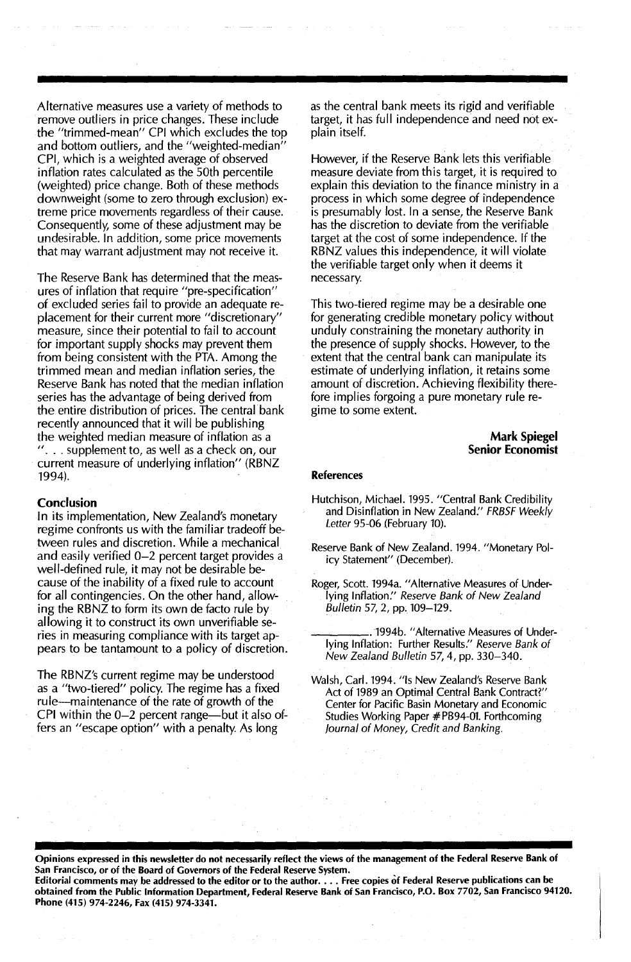Alternative measures use a variety of methods to remove outliers in price changes. These include the "trimmed-mean" CPI which excludes the top and bottom outliers, and the "weighted-median" CPI, which is a weighted average of observed inflation rates calculated as the 50th percentile (weighted) price change. Both of these methods downweight (some to zero through exclusion) extreme price movements regardless of their cause. Consequently, some of these adjustment may be undesirable. In addition, some price movements that may warrant adjustment may not receive it.

The Reserve Bank has determined that the measures of inflation that require "pre-specification" of excluded series fail to provide an adequate replacement for their current more "discretionary" measure, since their potential to fail to account for important supply shocks may prevent them from being consistent with the PTA. Among the trimmed mean and median inflation series, the Reserve Bank has noted that the median inflation series has the advantage of being derived from the entire distribution of prices. The central bank recently announced that it will be publishing the weighted median measure of inflation as a  $\ldots$  supplement to, as well as a check on, our current measure of underlying inflation" (RBNZ 1994).

#### **Conclusion**

In its implementation, New Zealand's monetary regime confronts us with the familiar tradeoff between rules and discretion. While a mechanical and easily verified 0-2 percent target provides a well-defined rule, it may not be desirable because of the inability of a fixed rule to account for all contingencies. On the other hand, allowing the RBNZ to form its own de facto rule by allowing it to construct its own unverifiable series in measuring compliance with its target appears to be tantamount to a policy of discretion.

The RBNZ's current regime may be understood as a "two-tiered" policy. The regime has a fixed rule-maintenance of the rate of growth of the CPI within the  $0-2$  percent range—but it also offers an "escape option" with a penalty. As long

as the central bank meets its rigid and verifiable target, it has full independence and need not explain itself.

However, if the Reserve Bank lets this verifiable measure deviate from this target, it is required to explain this deviation to the finance ministry in a process in which some degree of independence is presumably lost. In a sense, the Reserve Bank has the discretion to deviate from the verifiable target at the cost of some independence. If the RBNZ values this independence, it will violate the verifiable target only when it deems it necessary.

This two-tiered regime may be a desirable one for generating credible monetary policy without unduly constraining the monetary authority in the presence of supply shocks. However, to the extent that the central bank can manipulate its estimate of underlying inflation, it retains some amount of discretion. Achieving flexibility therefore implies forgoing a pure monetary rule regime to some extent.

> **Mark Spiegel Senior Economist**

#### **References**

- Hutchison, Michael. 1995. "Central Bank Credibility and Disinflation in New Zealand." FRBSF Weekly Letter 95-06 (February 10).
- Reserve Bank of New Zealand. 1994. "Monetary Policy Statement" (December).
- Roger, Scott. 1994a. "Alternative Measures of Underlying Inflation:' Reserve Bank of New Zealand Bulletin 57, 2, pp.109-129.

\_\_~\_.1994b. "Alternative Measures of Underlying Inflation: Further Results." Reserve Bank of New Zealand Bulletin 57,4, pp. 330-340.

Walsh, Carl. 1994. "Is New Zealand's Reserve Bank Act of 1989 an Optimal Central Bank Contract?" Center for Pacific Basin Monetary and Economic Studies Working Paper #PB94-01. Forthcoming Journal of Money, Credit and Banking.

Opinions expressed in this newsletter do not necessarily reflect the views of the management of the Federal Reserve Bank of San Francisco, or of the Board of Governors of the Federal Reserve System.

Editorial comments may be addressed to the editor or to the author. . . . Free copies of Federal Reserve publications can be obtained from the Public Information Department, Federal Reserve Bank of San Francisco, P.O. Box 7702, San Francisco 94120. Phone (415) 974-2246, Fax (415) 974-3341.